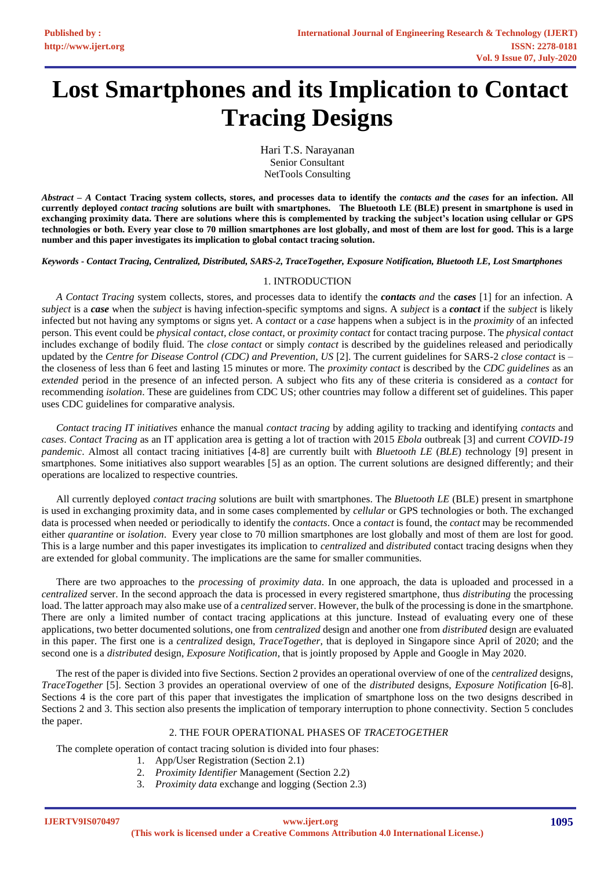# **Lost Smartphones and its Implication to Contact Tracing Designs**

Hari T.S. Narayanan Senior Consultant NetTools Consulting

*Abstract* **–** *A* **Contact Tracing system collects, stores, and processes data to identify the** *contacts and* **the** *cases* **for an infection. All currently deployed** *contact tracing* **solutions are built with smartphones. The Bluetooth LE (BLE) present in smartphone is used in exchanging proximity data. There are solutions where this is complemented by tracking the subject's location using cellular or GPS technologies or both. Every year close to 70 million smartphones are lost globally, and most of them are lost for good. This is a large number and this paper investigates its implication to global contact tracing solution.**

*Keywords - Contact Tracing, Centralized, Distributed, SARS-2, TraceTogether, Exposure Notification, Bluetooth LE, Lost Smartphones* 

# 1. INTRODUCTION

*A Contact Tracing* system collects, stores, and processes data to identify the *contacts and* the *cases* [1] for an infection. A *subject* is a *case* when the *subject* is having infection-specific symptoms and signs. A *subject* is a *contact* if the *subject* is likely infected but not having any symptoms or signs yet. A *contact* or a *case* happens when a subject is in the *proximity* of an infected person. This event could be *physical contact, close contact,* or *proximity contact* for contact tracing purpose. The *physical contact* includes exchange of bodily fluid. The *close contact* or simply *contact* is described by the guidelines released and periodically updated by the *Centre for Disease Control (CDC) and Prevention, US* [2]. The current guidelines for SARS-2 *close contact* is – the closeness of less than 6 feet and lasting 15 minutes or more. The *proximity contact* is described by the *CDC guidelines* as an *extended* period in the presence of an infected person. A subject who fits any of these criteria is considered as a *contact* for recommending *isolation*. These are guidelines from CDC US; other countries may follow a different set of guidelines. This paper uses CDC guidelines for comparative analysis.

*Contact tracing IT initiatives* enhance the manual *contact tracing* by adding agility to tracking and identifying *contacts* and *cases*. *Contact Tracing* as an IT application area is getting a lot of traction with 2015 *Ebola* outbreak [3] and current *COVID-19 pandemic*. Almost all contact tracing initiatives [4-8] are currently built with *Bluetooth LE* (*BLE*) *t*echnology [9] present in smartphones. Some initiatives also support wearables [5] as an option. The current solutions are designed differently; and their operations are localized to respective countries.

All currently deployed *contact tracing* solutions are built with smartphones. The *Bluetooth LE* (BLE) present in smartphone is used in exchanging proximity data, and in some cases complemented by *cellular* or GPS technologies or both. The exchanged data is processed when needed or periodically to identify the *contacts*. Once a *contact* is found, the *contact* may be recommended either *quarantine* or *isolation*. Every year close to 70 million smartphones are lost globally and most of them are lost for good. This is a large number and this paper investigates its implication to *centralized* and *distributed* contact tracing designs when they are extended for global community. The implications are the same for smaller communities.

There are two approaches to the *processing* of *proximity data*. In one approach, the data is uploaded and processed in a *centralized* server. In the second approach the data is processed in every registered smartphone, thus *distributing* the processing load. The latter approach may also make use of a *centralized* server. However, the bulk of the processing is done in the smartphone. There are only a limited number of contact tracing applications at this juncture. Instead of evaluating every one of these applications, two better documented solutions, one from *centralized* design and another one from *distributed* design are evaluated in this paper. The first one is a *centralized* design, *TraceTogether*, that is deployed in Singapore since April of 2020; and the second one is a *distributed* design, *Exposure Notification*, that is jointly proposed by Apple and Google in May 2020.

The rest of the paper is divided into five Sections. Section 2 provides an operational overview of one of the *centralized* designs, *TraceTogether* [5]. Section 3 provides an operational overview of one of the *distributed* designs, *Exposure Notification* [6-8]. Sections 4 is the core part of this paper that investigates the implication of smartphone loss on the two designs described in Sections 2 and 3. This section also presents the implication of temporary interruption to phone connectivity. Section 5 concludes the paper.

## 2. THE FOUR OPERATIONAL PHASES OF *TRACETOGETHER*

The complete operation of contact tracing solution is divided into four phases:

- 1. App/User Registration (Section 2.1)
- 2. *Proximity Identifier* Management (Section 2.2)
- 3. *Proximity data* exchange and logging (Section 2.3)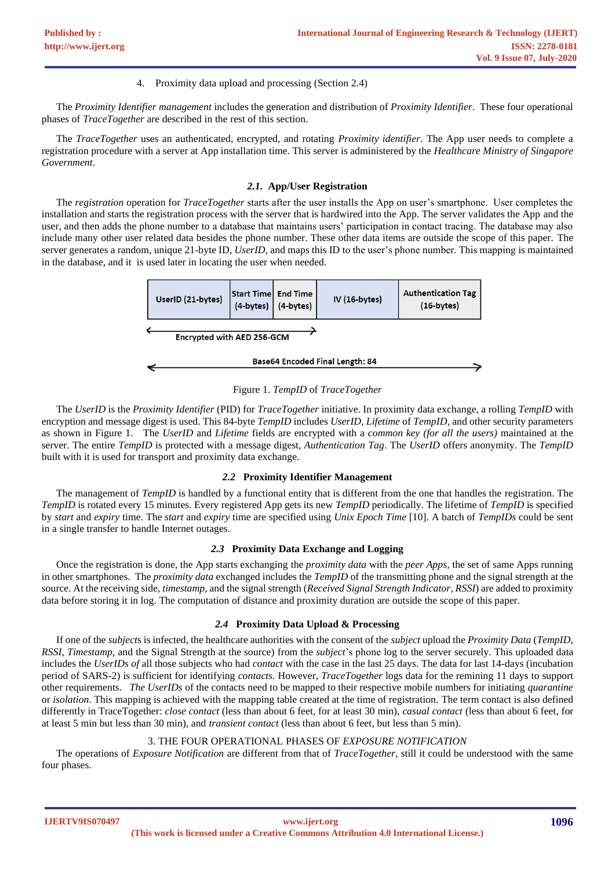## 4. Proximity data upload and processing (Section 2.4)

The *Proximity Identifier management* includes the generation and distribution of *Proximity Identifier*. These four operational phases of *TraceTogether* are described in the rest of this section.

The *TraceTogether* uses an authenticated, encrypted, and rotating *Proximity identifier*. The App user needs to complete a registration procedure with a server at App installation time. This server is administered by the *Healthcare Ministry of Singapore Government*.

# *2.1.* **App/User Registration**

The *registration* operation for *TraceTogether* starts after the user installs the App on user's smartphone. User completes the installation and starts the registration process with the server that is hardwired into the App. The server validates the App and the user, and then adds the phone number to a database that maintains users' participation in contact tracing. The database may also include many other user related data besides the phone number. These other data items are outside the scope of this paper. The server generates a random, unique 21-byte ID, *UserID,* and maps this ID to the user's phone number. This mapping is maintained in the database, and it is used later in locating the user when needed.



Figure 1. *TempID* of *TraceTogether*

The *UserID* is the *Proximity Identifier* (PID) for *TraceTogether* initiative. In proximity data exchange, a rolling *TempID* with encryption and message digest is used. This 84-byte *TempID* includes *UserID*, *Lifetime* of *TempID*, and other security parameters as shown in Figure 1. The *UserID* and *Lifetime* fields are encrypted with a *common key (for all the users)* maintained at the server. The entire *TempID* is protected with a message digest, *Authentication Tag*. The *UserID* offers anonymity. The *TempID*  built with it is used for transport and proximity data exchange.

## *2.2* **Proximity Identifier Management**

The management of *TempID* is handled by a functional entity that is different from the one that handles the registration. The *TempID* is rotated every 15 minutes. Every registered App gets its new *TempID* periodically. The lifetime of *TempID* is specified by *start* and *expiry* time. The *start* and *expiry* time are specified using *Unix Epoch Time* [10]. A batch of *TempIDs* could be sent in a single transfer to handle Internet outages.

## *2.3* **Proximity Data Exchange and Logging**

Once the registration is done, the App starts exchanging the *proximity data* with the *peer Apps*, the set of same Apps running in other smartphones. The *proximity data* exchanged includes the *TempID* of the transmitting phone and the signal strength at the source. At the receiving side, *timestamp*, and the signal strength (*Received Signal Strength Indicator, RSSI*) are added to proximity data before storing it in log. The computation of distance and proximity duration are outside the scope of this paper.

## *2.4* **Proximity Data Upload & Processing**

If one of the *subject*s is infected, the healthcare authorities with the consent of the *subject* upload the *Proximity Data* (*TempID, RSSI*, *Timestamp*, and the Signal Strength at the source) from the *subject*'s phone log to the server securely. This uploaded data includes the *UserIDs of* all those subjects who had *contact* with the case in the last 25 days. The data for last 14-days (incubation period of SARS-2) is sufficient for identifying *contacts.* However, *TraceTogether* logs data for the remining 11 days to support other requirements. *The UserIDs* of the contacts need to be mapped to their respective mobile numbers for initiating *quarantine* or *isolation*. This mapping is achieved with the mapping table created at the time of registration. The term contact is also defined differently in TraceTogether: *close contact* (less than about 6 feet, for at least 30 min), *casual contact* (less than about 6 feet, for at least 5 min but less than 30 min), and *transient contact* (less than about 6 feet, but less than 5 min).

## 3. THE FOUR OPERATIONAL PHASES OF *EXPOSURE NOTIFICATION*

The operations of *Exposure Notification* are different from that of *TraceTogether*, still it could be understood with the same four phases.

**IJERTV9IS070497**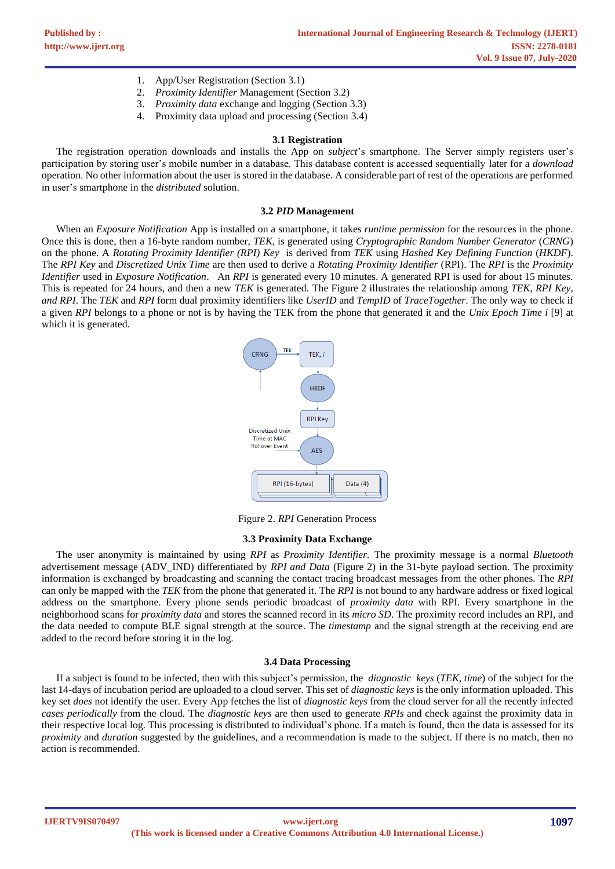- 1. App/User Registration (Section 3.1)
- 2. *Proximity Identifier* Management (Section 3.2)
- 3. *Proximity data* exchange and logging (Section 3.3)
- 4. Proximity data upload and processing (Section 3.4)

#### **3.1 Registration**

The registration operation downloads and installs the App on *subject*'s smartphone. The Server simply registers user's participation by storing user's mobile number in a database. This database content is accessed sequentially later for a *download* operation. No other information about the user is stored in the database. A considerable part of rest of the operations are performed in user's smartphone in the *distributed* solution.

#### **3.2** *PID* **Management**

When an *Exposure Notification* App is installed on a smartphone, it takes *runtime permission* for the resources in the phone. Once this is done, then a 16-byte random number, *TEK*, is generated using *Cryptographic Random Number Generator* (*CRNG*) on the phone. A *Rotating Proximity Identifier (RPI) Key* is derived from *TEK* using *Hashed Key Defining Function* (*HKDF*). The *RPI Key* and *Discretized Unix Time* are then used to derive a *Rotating Proximity Identifier* (RPI). The *RPI* is the *Proximity Identifier* used in *Exposure Notification*. An *RPI* is generated every 10 minutes. A generated RPI is used for about 15 minutes. This is repeated for 24 hours, and then a new *TEK* is generated. The Figure 2 illustrates the relationship among *TEK, RPI Key, and RPI*. The *TEK* and *RPI* form dual proximity identifiers like *UserID* and *TempID* of *TraceTogether*. The only way to check if a given *RPI* belongs to a phone or not is by having the TEK from the phone that generated it and the *Unix Epoch Time i* [9] at which it is generated.



Figure 2. *RPI* Generation Process

#### **3.3 Proximity Data Exchange**

The user anonymity is maintained by using *RPI* as *Proximity Identifier.* The proximity message is a normal *Bluetooth* advertisement message (ADV\_IND) differentiated by *RPI and Data* (Figure 2) in the 31-byte payload section. The proximity information is exchanged by broadcasting and scanning the contact tracing broadcast messages from the other phones. The *RPI*  can only be mapped with the *TEK* from the phone that generated it. The *RPI* is not bound to any hardware address or fixed logical address on the smartphone. Every phone sends periodic broadcast of *proximity data* with RPI*.* Every smartphone in the neighborhood scans for *proximity data* and stores the scanned record in its *micro SD*. The proximity record includes an RPI, and the data needed to compute BLE signal strength at the source. The *timestamp* and the signal strength at the receiving end are added to the record before storing it in the log.

#### **3.4 Data Processing**

If a subject is found to be infected, then with this subject's permission, the *diagnostic keys* (*TEK, time*) of the subject for the last 14-days of incubation period are uploaded to a cloud server. This set of *diagnostic keys* is the only information uploaded. This key set *does* not identify the user. Every App fetches the list of *diagnostic keys* from the cloud server for all the recently infected *cases periodically* from the cloud. The *diagnostic keys* are then used to generate *RPIs* and check against the proximity data in their respective local log. This processing is distributed to individual's phone. If a match is found, then the data is assessed for its *proximity* and *duration* suggested by the guidelines, and a recommendation is made to the subject. If there is no match, then no action is recommended.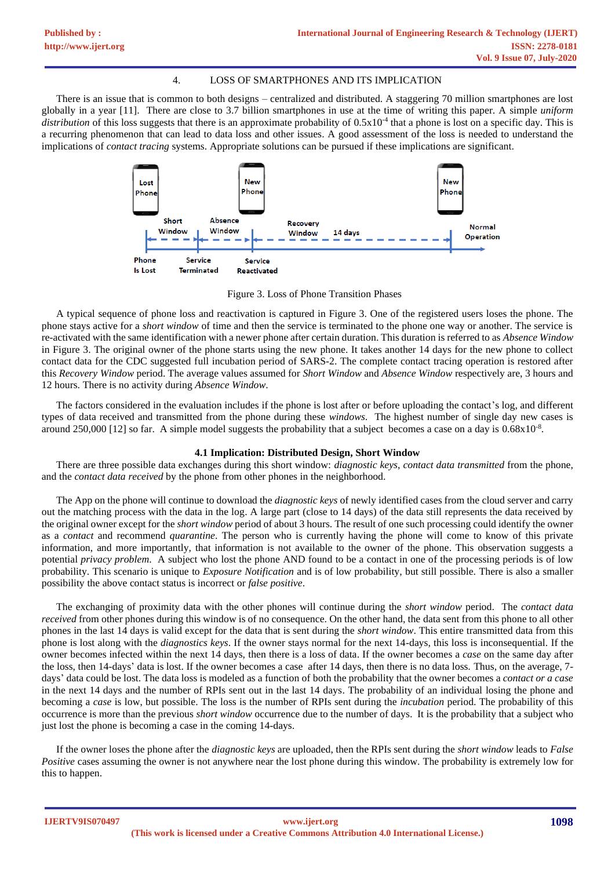## 4. LOSS OF SMARTPHONES AND ITS IMPLICATION

There is an issue that is common to both designs – centralized and distributed. A staggering 70 million smartphones are lost globally in a year [11]. There are close to 3.7 billion smartphones in use at the time of writing this paper. A simple *uniform*  distribution of this loss suggests that there is an approximate probability of  $0.5x10<sup>-4</sup>$  that a phone is lost on a specific day. This is a recurring phenomenon that can lead to data loss and other issues. A good assessment of the loss is needed to understand the implications of *contact tracing* systems. Appropriate solutions can be pursued if these implications are significant.



Figure 3. Loss of Phone Transition Phases

A typical sequence of phone loss and reactivation is captured in Figure 3. One of the registered users loses the phone. The phone stays active for a *short window* of time and then the service is terminated to the phone one way or another. The service is re-activated with the same identification with a newer phone after certain duration. This duration is referred to as *Absence Window* in Figure 3. The original owner of the phone starts using the new phone. It takes another 14 days for the new phone to collect contact data for the CDC suggested full incubation period of SARS-2. The complete contact tracing operation is restored after this *Recovery Window* period. The average values assumed for *Short Window* and *Absence Window* respectively are, 3 hours and 12 hours. There is no activity during *Absence Window*.

The factors considered in the evaluation includes if the phone is lost after or before uploading the contact's log, and different types of data received and transmitted from the phone during these *windows*. The highest number of single day new cases is around 250,000 [12] so far. A simple model suggests the probability that a subject becomes a case on a day is  $0.68 \times 10^{-8}$ .

## **4.1 Implication: Distributed Design, Short Window**

There are three possible data exchanges during this short window: *diagnostic keys*, *contact data transmitted* from the phone, and the *contact data received* by the phone from other phones in the neighborhood.

The App on the phone will continue to download the *diagnostic keys* of newly identified cases from the cloud server and carry out the matching process with the data in the log. A large part (close to 14 days) of the data still represents the data received by the original owner except for the *short window* period of about 3 hours. The result of one such processing could identify the owner as a *contact* and recommend *quarantine*. The person who is currently having the phone will come to know of this private information, and more importantly, that information is not available to the owner of the phone. This observation suggests a potential *privacy problem*. A subject who lost the phone AND found to be a contact in one of the processing periods is of low probability. This scenario is unique to *Exposure Notification* and is of low probability, but still possible. There is also a smaller possibility the above contact status is incorrect or *false positive*.

The exchanging of proximity data with the other phones will continue during the *short window* period. The *contact data received* from other phones during this window is of no consequence. On the other hand, the data sent from this phone to all other phones in the last 14 days is valid except for the data that is sent during the *short window*. This entire transmitted data from this phone is lost along with the *diagnostics keys*. If the owner stays normal for the next 14-days, this loss is inconsequential. If the owner becomes infected within the next 14 days, then there is a loss of data. If the owner becomes a *case* on the same day after the loss, then 14-days' data is lost. If the owner becomes a case after 14 days, then there is no data loss. Thus, on the average, 7 days' data could be lost. The data loss is modeled as a function of both the probability that the owner becomes a *contact or a case* in the next 14 days and the number of RPIs sent out in the last 14 days. The probability of an individual losing the phone and becoming a *case* is low, but possible. The loss is the number of RPIs sent during the *incubation* period. The probability of this occurrence is more than the previous *short window* occurrence due to the number of days. It is the probability that a subject who just lost the phone is becoming a case in the coming 14-days.

If the owner loses the phone after the *diagnostic keys* are uploaded, then the RPIs sent during the *short window* leads to *False Positive* cases assuming the owner is not anywhere near the lost phone during this window. The probability is extremely low for this to happen.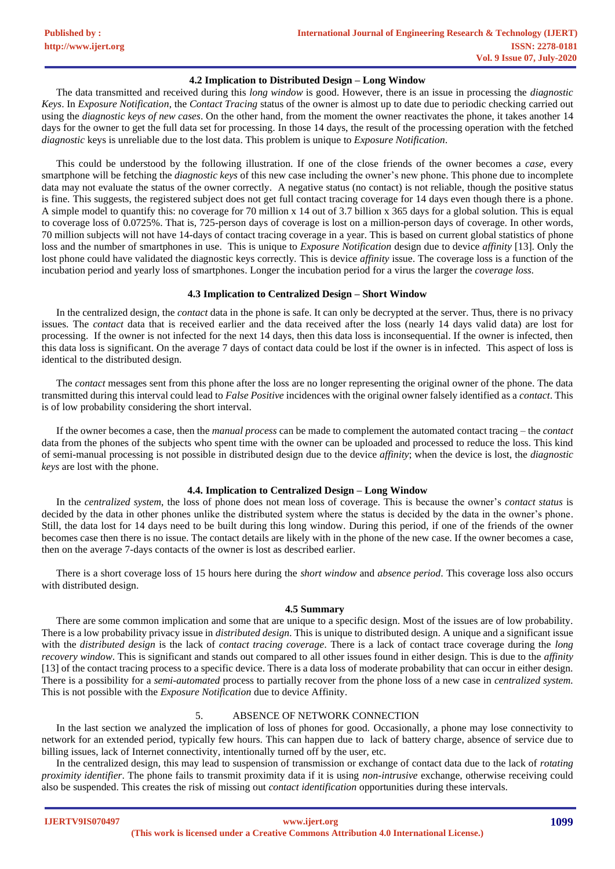## **4.2 Implication to Distributed Design – Long Window**

The data transmitted and received during this *long window* is good. However, there is an issue in processing the *diagnostic Keys*. In *Exposure Notification*, the *Contact Tracing* status of the owner is almost up to date due to periodic checking carried out using the *diagnostic keys of new cases*. On the other hand, from the moment the owner reactivates the phone, it takes another 14 days for the owner to get the full data set for processing. In those 14 days, the result of the processing operation with the fetched *diagnostic* keys is unreliable due to the lost data. This problem is unique to *Exposure Notification*.

This could be understood by the following illustration. If one of the close friends of the owner becomes a *case,* every smartphone will be fetching the *diagnostic keys* of this new case including the owner's new phone. This phone due to incomplete data may not evaluate the status of the owner correctly. A negative status (no contact) is not reliable, though the positive status is fine. This suggests, the registered subject does not get full contact tracing coverage for 14 days even though there is a phone. A simple model to quantify this: no coverage for 70 million x 14 out of 3.7 billion x 365 days for a global solution. This is equal to coverage loss of 0.0725%. That is, 725-person days of coverage is lost on a million-person days of coverage. In other words, 70 million subjects will not have 14-days of contact tracing coverage in a year. This is based on current global statistics of phone loss and the number of smartphones in use. This is unique to *Exposure Notification* design due to device *affinity* [13]. Only the lost phone could have validated the diagnostic keys correctly. This is device *affinity* issue. The coverage loss is a function of the incubation period and yearly loss of smartphones. Longer the incubation period for a virus the larger the *coverage loss*.

## **4.3 Implication to Centralized Design – Short Window**

In the centralized design, the *contact* data in the phone is safe. It can only be decrypted at the server. Thus, there is no privacy issues. The *contact* data that is received earlier and the data received after the loss (nearly 14 days valid data) are lost for processing. If the owner is not infected for the next 14 days, then this data loss is inconsequential. If the owner is infected, then this data loss is significant. On the average 7 days of contact data could be lost if the owner is in infected. This aspect of loss is identical to the distributed design.

The *contact* messages sent from this phone after the loss are no longer representing the original owner of the phone. The data transmitted during this interval could lead to *False Positive* incidences with the original owner falsely identified as a *contact*. This is of low probability considering the short interval.

If the owner becomes a case, then the *manual process* can be made to complement the automated contact tracing – the *contact* data from the phones of the subjects who spent time with the owner can be uploaded and processed to reduce the loss. This kind of semi-manual processing is not possible in distributed design due to the device *affinity*; when the device is lost, the *diagnostic keys* are lost with the phone.

## **4.4. Implication to Centralized Design – Long Window**

In the *centralized system*, the loss of phone does not mean loss of coverage. This is because the owner's *contact status* is decided by the data in other phones unlike the distributed system where the status is decided by the data in the owner's phone. Still, the data lost for 14 days need to be built during this long window. During this period, if one of the friends of the owner becomes case then there is no issue. The contact details are likely with in the phone of the new case. If the owner becomes a case, then on the average 7-days contacts of the owner is lost as described earlier.

There is a short coverage loss of 15 hours here during the *short window* and *absence period*. This coverage loss also occurs with distributed design.

#### **4.5 Summary**

There are some common implication and some that are unique to a specific design. Most of the issues are of low probability. There is a low probability privacy issue in *distributed design.* This is unique to distributed design. A unique and a significant issue with the *distributed design* is the lack of *contact tracing coverage*. There is a lack of contact trace coverage during the *long recovery window*. This is significant and stands out compared to all other issues found in either design. This is due to the *affinity* [13] of the contact tracing process to a specific device. There is a data loss of moderate probability that can occur in either design. There is a possibility for a *semi-automated* process to partially recover from the phone loss of a new case in *centralized system.* This is not possible with the *Exposure Notification* due to device Affinity.

## 5. ABSENCE OF NETWORK CONNECTION

In the last section we analyzed the implication of loss of phones for good. Occasionally, a phone may lose connectivity to network for an extended period, typically few hours. This can happen due to lack of battery charge, absence of service due to billing issues, lack of Internet connectivity, intentionally turned off by the user, etc.

In the centralized design, this may lead to suspension of transmission or exchange of contact data due to the lack of *rotating proximity identifier*. The phone fails to transmit proximity data if it is using *non-intrusive* exchange, otherwise receiving could also be suspended. This creates the risk of missing out *contact identification* opportunities during these intervals.